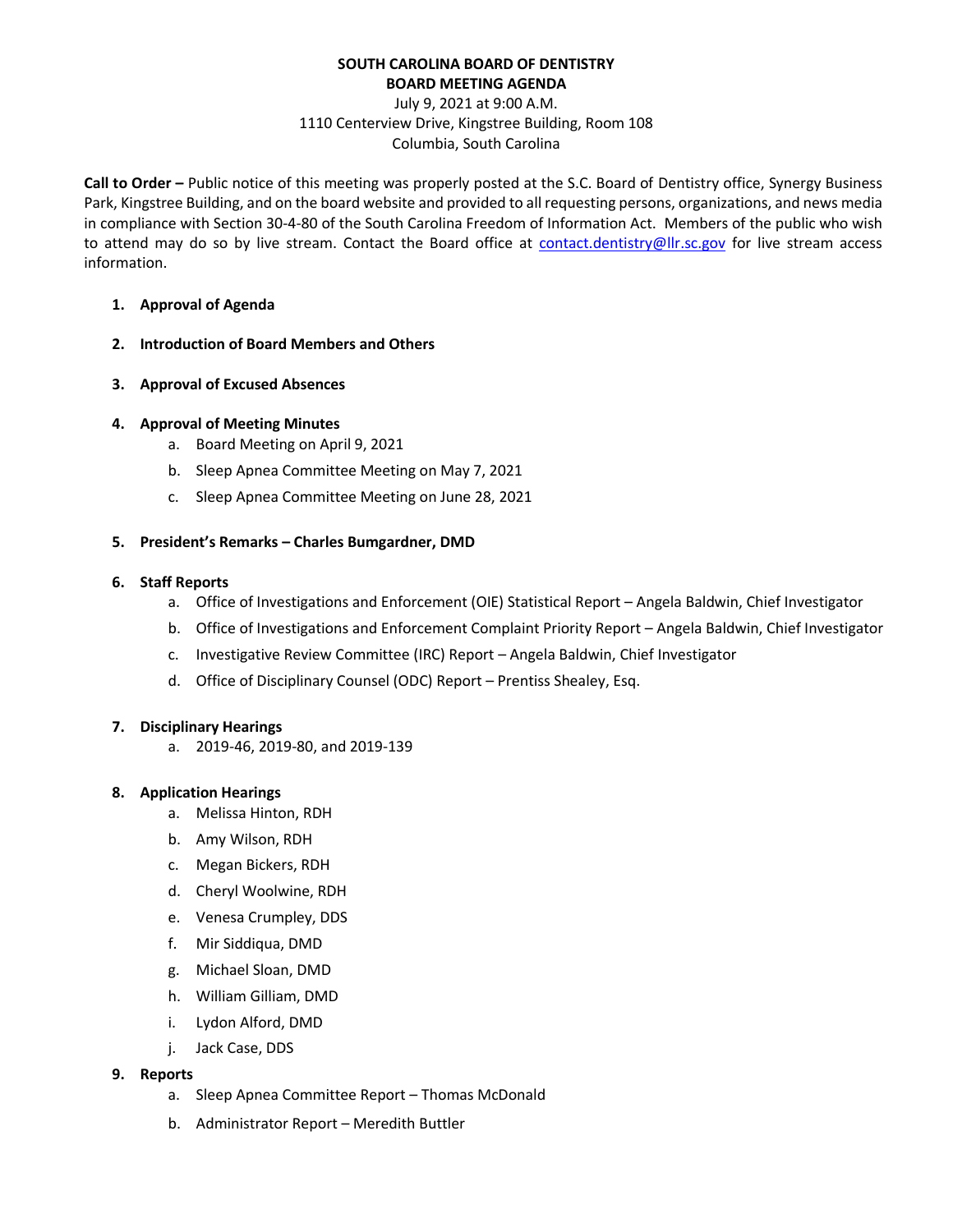## **SOUTH CAROLINA BOARD OF DENTISTRY BOARD MEETING AGENDA**

# July 9, 2021 at 9:00 A.M. 1110 Centerview Drive, Kingstree Building, Room 108 Columbia, South Carolina

**Call to Order –** Public notice of this meeting was properly posted at the S.C. Board of Dentistry office, Synergy Business Park, Kingstree Building, and on the board website and provided to all requesting persons, organizations, and news media in compliance with Section 30-4-80 of the South Carolina Freedom of Information Act. Members of the public who wish to attend may do so by live stream. Contact the Board office at [contact.dentistry@llr.sc.gov](mailto:contact.dentistry@llr.sc.gov) for live stream access information.

- **1. Approval of Agenda**
- **2. Introduction of Board Members and Others**
- **3. Approval of Excused Absences**
- **4. Approval of Meeting Minutes**
	- a. Board Meeting on April 9, 2021
	- b. Sleep Apnea Committee Meeting on May 7, 2021
	- c. Sleep Apnea Committee Meeting on June 28, 2021
- **5. President's Remarks – Charles Bumgardner, DMD**
- **6. Staff Reports**
	- a. Office of Investigations and Enforcement (OIE) Statistical Report Angela Baldwin, Chief Investigator
	- b. Office of Investigations and Enforcement Complaint Priority Report Angela Baldwin, Chief Investigator
	- c. Investigative Review Committee (IRC) Report Angela Baldwin, Chief Investigator
	- d. Office of Disciplinary Counsel (ODC) Report Prentiss Shealey, Esq.

#### **7. Disciplinary Hearings**

a. 2019-46, 2019-80, and 2019-139

#### **8. Application Hearings**

- a. Melissa Hinton, RDH
- b. Amy Wilson, RDH
- c. Megan Bickers, RDH
- d. Cheryl Woolwine, RDH
- e. Venesa Crumpley, DDS
- f. Mir Siddiqua, DMD
- g. Michael Sloan, DMD
- h. William Gilliam, DMD
- i. Lydon Alford, DMD
- j. Jack Case, DDS

## **9. Reports**

- a. Sleep Apnea Committee Report Thomas McDonald
- b. Administrator Report Meredith Buttler